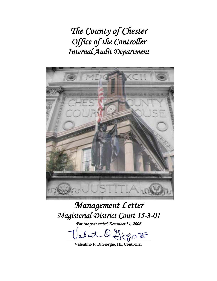*The County of Chester Office of the Controller Internal Audit Department* 



# *Management Letter Magisterial District Court 15-3-01*

*For the year ended December 31, 2006* 

let l'Horio  $t$ 

**Valentino F. DiGiorgio, III, Controller**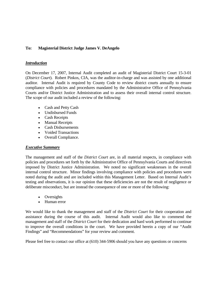## **To: Magisterial District Judge James V. DeAngelo**

#### *Introduction*

On December 17, 2007, Internal Audit completed an audit of Magisterial District Court 15-3-01 (*District Court*). Robert Pinkos, CIA, was the auditor-in-charge and was assisted by one additional auditor. Internal Audit is required by County Code to review district courts annually to ensure compliance with policies and procedures mandated by the Administrative Office of Pennsylvania Courts and/or District Justice Administration and to assess their overall internal control structure. The scope of our audit included a review of the following:

- Cash and Petty Cash
- Undisbursed Funds
- Cash Receipts
- Manual Receipts
- Cash Disbursements
- Voided Transactions
- Overall Compliance.

## *Executive Summary*

The management and staff of the *District Court* are, in all material respects, in compliance with policies and procedures set forth by the Administrative Office of Pennsylvania Courts and directives imposed by District Justice Administration. We noted no significant weaknesses in the overall internal control structure. Minor findings involving compliance with policies and procedures were noted during the audit and are included within this Management Letter. Based on Internal Audit's testing and observations, it is our opinion that these deficiencies are not the result of negligence or deliberate misconduct, but are instead the consequence of one or more of the following:

- Oversights
- Human error

We would like to thank the management and staff of the *District Court* for their cooperation and assistance during the course of this audit. Internal Audit would also like to commend the management and staff of the *District Court* for their dedication and hard work performed to continue to improve the overall conditions in the court. We have provided herein a copy of our "Audit Findings" and "Recommendations" for your review and comment.

Please feel free to contact our office at (610) 344-5906 should you have any questions or concerns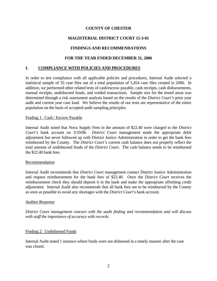# **MAGISTERIAL DISTRICT COURT 15-3-01**

## **FINDINGS AND RECOMMENDATIONS**

## **FOR THE YEAR ENDED DECEMBER 31, 2006**

## **I. COMPLIANCE WITH POLICIES AND PROCEDURES**

In order to test compliance with all applicable policies and procedures, Internal Audit selected a statistical sample of 35 case files out of a total population of 5,454 case files created in 2006. In addition, we performed other related tests of cash/escrow payable, cash receipts, cash disbursements, manual receipts, undisbursed funds, and voided transactions. Sample size for the tested areas was determined through a risk assessment analysis based on the results of the *District Court's* prior year audit and current year case load. We believe the results of our tests are representative of the entire population on the basis of accepted audit sampling principles.

#### Finding 1: Cash / Escrow Payable

Internal Audit noted that Nova Supply Fees in the amount of \$22.40 were charged to the *District Court's* bank account on 3/10/06. *District Court* management made the appropriate debit adjustment but never followed up with District Justice Administration in order to get the bank fees reimbursed by the County. The *District Court's* current cash balance does not properly reflect the total amount of undisbursed funds of the *District Court*. The cash balance needs to be reimbursed the \$22.40 bank fees.

#### Recommendation

Internal Audit recommends that *District Court* management contact District Justice Administration and request reimbursement for the bank fees of \$22.40. Once the *District Court* receives the reimbursement check they should deposit it in the bank and make the appropriate offsetting credit adjustment. Internal Audit also recommends that all bank fees are to be reimbursed by the County as soon as possible to avoid any shortages with the *District Court's* bank account.

#### *Auditee Response*

*District Court management concurs with the audit finding and recommendation and will discuss with staff the importance of accuracy with records.* 

#### Finding 2: Undisbursed Funds

Internal Audit noted 1 instance where funds were not disbursed in a timely manner after the case was closed.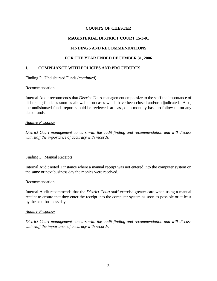# **MAGISTERIAL DISTRICT COURT 15-3-01**

# **FINDINGS AND RECOMMENDATIONS**

# **FOR THE YEAR ENDED DECEMBER 31, 2006**

# **I. COMPLIANCE WITH POLICIES AND PROCEDURES**

## Finding 2: Undisbursed Funds *(continued)*

## Recommendation

Internal Audit recommends that *District Court* management emphasize to the staff the importance of disbursing funds as soon as allowable on cases which have been closed and/or adjudicated. Also, the undisbursed funds report should be reviewed, at least, on a monthly basis to follow up on any dated funds.

## *Auditee Response*

*District Court management concurs with the audit finding and recommendation and will discuss with staff the importance of accuracy with records.* 

## Finding 3: Manual Receipts

Internal Audit noted 1 instance where a manual receipt was not entered into the computer system on the same or next business day the monies were received.

#### Recommendation

Internal Audit recommends that the *District Court* staff exercise greater care when using a manual receipt to ensure that they enter the receipt into the computer system as soon as possible or at least by the next business day.

#### *Auditee Response*

*District Court management concurs with the audit finding and recommendation and will discuss with staff the importance of accuracy with records.*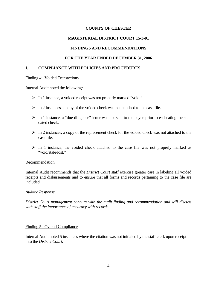## **MAGISTERIAL DISTRICT COURT 15-3-01**

## **FINDINGS AND RECOMMENDATIONS**

#### **FOR THE YEAR ENDED DECEMBER 31, 2006**

#### **I. COMPLIANCE WITH POLICIES AND PROCEDURES**

#### Finding 4: Voided Transactions

Internal Audit noted the following:

- ¾ In 1 instance, a voided receipt was not properly marked "void."
- $\triangleright$  In 2 instances, a copy of the voided check was not attached to the case file.
- $\triangleright$  In 1 instance, a "due diligence" letter was not sent to the payee prior to escheating the stale dated check.
- $\triangleright$  In 2 instances, a copy of the replacement check for the voided check was not attached to the case file.
- $\triangleright$  In 1 instance, the voided check attached to the case file was not properly marked as "void/stale/lost."

#### Recommendation

Internal Audit recommends that the *District Court* staff exercise greater care in labeling all voided receipts and disbursements and to ensure that all forms and records pertaining to the case file are included.

#### *Auditee Response*

*District Court management concurs with the audit finding and recommendation and will discuss with staff the importance of accuracy with records.* 

#### Finding 5: Overall Compliance

Internal Audit noted 5 instances where the citation was not initialed by the staff clerk upon receipt into the *District Court*.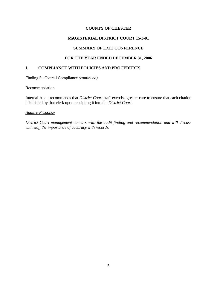# **MAGISTERIAL DISTRICT COURT 15-3-01**

## **SUMMARY OF EXIT CONFERENCE**

## **FOR THE YEAR ENDED DECEMBER 31, 2006**

## **I. COMPLIANCE WITH POLICIES AND PROCEDURES**

Finding 5: Overall Compliance *(continued)*

#### Recommendation

Internal Audit recommends that *District Court* staff exercise greater care to ensure that each citation is initialed by that clerk upon receipting it into the *District Court.*

#### *Auditee Response*

*District Court management concurs with the audit finding and recommendation and will discuss with staff the importance of accuracy with records.*